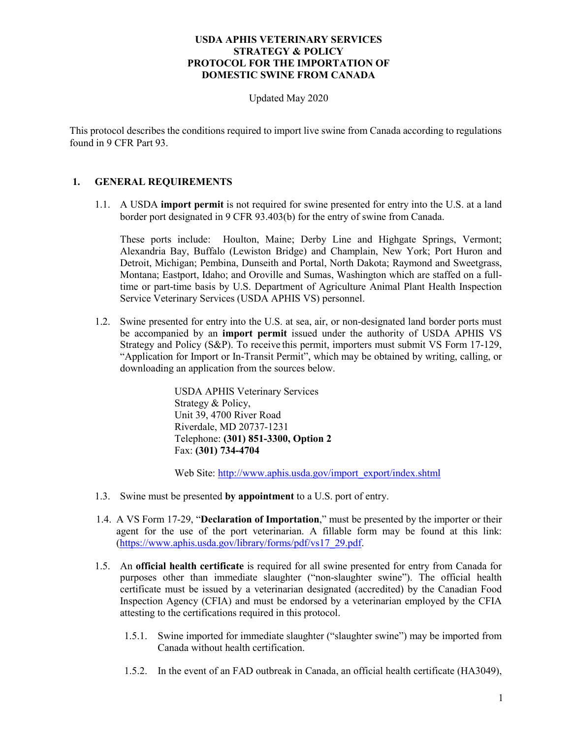Updated May 2020

This protocol describes the conditions required to import live swine from Canada according to regulations found in 9 CFR Part 93.

# **1. GENERAL REQUIREMENTS**

1.1. A USDA **import permit** is not required for swine presented for entry into the U.S. at a land border port designated in 9 CFR 93.403(b) for the entry of swine from Canada.

These ports include: Houlton, Maine; Derby Line and Highgate Springs, Vermont; Alexandria Bay, Buffalo (Lewiston Bridge) and Champlain, New York; Port Huron and Detroit, Michigan; Pembina, Dunseith and Portal, North Dakota; Raymond and Sweetgrass, Montana; Eastport, Idaho; and Oroville and Sumas, Washington which are staffed on a fulltime or part-time basis by U.S. Department of Agriculture Animal Plant Health Inspection Service Veterinary Services (USDA APHIS VS) personnel.

1.2. Swine presented for entry into the U.S. at sea, air, or non-designated land border ports must be accompanied by an **import permit** issued under the authority of USDA APHIS VS Strategy and Policy (S&P). To receive this permit, importers must submit VS Form 17-129, "Application for Import or In-Transit Permit", which may be obtained by writing, calling, or downloading an application from the sources below.

> USDA APHIS Veterinary Services Strategy & Policy, Unit 39, 4700 River Road Riverdale, MD 20737-1231 Telephone: **(301) 851-3300, Option 2**  Fax: **(301) 734-4704**

Web Site[: http://www.aphis.usda.gov/import\\_export/index.shtml](http://www.aphis.usda.gov/import_export/index.shtml)

- 1.3. Swine must be presented **by appointment** to a U.S. port of entry.
- 1.4. A VS Form 17-29, "**Declaration of Importation**," must be presented by the importer or their agent for the use of the port veterinarian. A fillable form may be found at this link: [\(https://www.aphis.usda.gov/library/forms/pdf/vs17\\_29.pdf.](https://www.aphis.usda.gov/library/forms/pdf/vs17_29.pdf)
- 1.5. An **official health certificate** is required for all swine presented for entry from Canada for purposes other than immediate slaughter ("non-slaughter swine"). The official health certificate must be issued by a veterinarian designated (accredited) by the Canadian Food Inspection Agency (CFIA) and must be endorsed by a veterinarian employed by the CFIA attesting to the certifications required in this protocol.
	- 1.5.1. Swine imported for immediate slaughter ("slaughter swine") may be imported from Canada without health certification.
	- 1.5.2. In the event of an FAD outbreak in Canada, an official health certificate (HA3049),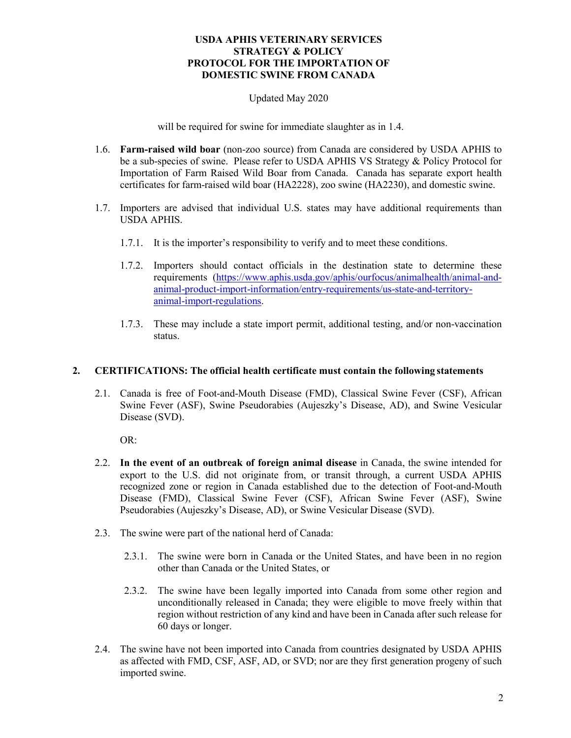# Updated May 2020

will be required for swine for immediate slaughter as in 1.4.

- 1.6. **Farm-raised wild boar** (non-zoo source) from Canada are considered by USDA APHIS to be a sub-species of swine. Please refer to USDA APHIS VS Strategy & Policy Protocol for Importation of Farm Raised Wild Boar from Canada. Canada has separate export health certificates for farm-raised wild boar (HA2228), zoo swine (HA2230), and domestic swine.
- 1.7. Importers are advised that individual U.S. states may have additional requirements than USDA APHIS.
	- 1.7.1. It is the importer's responsibility to verify and to meet these conditions.
	- 1.7.2. Importers should contact officials in the destination state to determine these requirements [\(https://www.aphis.usda.gov/aphis/ourfocus/animalhealth/animal-and](https://www.aphis.usda.gov/aphis/ourfocus/animalhealth/animal-and-animal-product-import-information/entry-requirements/us-state-and-territory-animal-import-regulations)[animal-product-import-information/entry-requirements/us-state-and-territory](https://www.aphis.usda.gov/aphis/ourfocus/animalhealth/animal-and-animal-product-import-information/entry-requirements/us-state-and-territory-animal-import-regulations)[animal-import-regulations.](https://www.aphis.usda.gov/aphis/ourfocus/animalhealth/animal-and-animal-product-import-information/entry-requirements/us-state-and-territory-animal-import-regulations)
	- 1.7.3. These may include a state import permit, additional testing, and/or non-vaccination status.

#### **2. CERTIFICATIONS: The official health certificate must contain the following statements**

2.1. Canada is free of Foot-and-Mouth Disease (FMD), Classical Swine Fever (CSF), African Swine Fever (ASF), Swine Pseudorabies (Aujeszky's Disease, AD), and Swine Vesicular Disease (SVD).

OR:

- 2.2. **In the event of an outbreak of foreign animal disease** in Canada, the swine intended for export to the U.S. did not originate from, or transit through, a current USDA APHIS recognized zone or region in Canada established due to the detection of Foot-and-Mouth Disease (FMD), Classical Swine Fever (CSF), African Swine Fever (ASF), Swine Pseudorabies (Aujeszky's Disease, AD), or Swine Vesicular Disease (SVD).
- 2.3. The swine were part of the national herd of Canada:
	- 2.3.1. The swine were born in Canada or the [United States,](https://www.law.cornell.edu/definitions/index.php?width=840&height=800&iframe=true&def_id=713b0e7ba87f1a6674e58b99a445b8c9&term_occur=999&term_src=Title:9:Chapter:I:Subchapter:D:Part:93:Subpart:E:Subjgrp:65:93.516) and have been in no [region](https://www.law.cornell.edu/definitions/index.php?width=840&height=800&iframe=true&def_id=7817c204566b1056d4656994e9d4737d&term_occur=999&term_src=Title:9:Chapter:I:Subchapter:D:Part:93:Subpart:E:Subjgrp:65:93.516) other than Canada or the [United States,](https://www.law.cornell.edu/definitions/index.php?width=840&height=800&iframe=true&def_id=713b0e7ba87f1a6674e58b99a445b8c9&term_occur=999&term_src=Title:9:Chapter:I:Subchapter:D:Part:93:Subpart:E:Subjgrp:65:93.516) or
	- 2.3.2. The swine have been legally imported into Canada from some other [region](https://www.law.cornell.edu/definitions/index.php?width=840&height=800&iframe=true&def_id=7817c204566b1056d4656994e9d4737d&term_occur=999&term_src=Title:9:Chapter:I:Subchapter:D:Part:93:Subpart:E:Subjgrp:65:93.516) and unconditionally released in Canada; they were eligible to move freely within that [region w](https://www.law.cornell.edu/definitions/index.php?width=840&height=800&iframe=true&def_id=7817c204566b1056d4656994e9d4737d&term_occur=999&term_src=Title:9:Chapter:I:Subchapter:D:Part:93:Subpart:E:Subjgrp:65:93.516)ithout restriction of any kind and have been in Canada after such release for 60 days or longer.
- 2.4. The swine have not been imported into Canada from countries designated by USDA APHIS as affected with FMD, CSF, ASF, AD, or SVD; nor are they first generation progeny of such imported swine.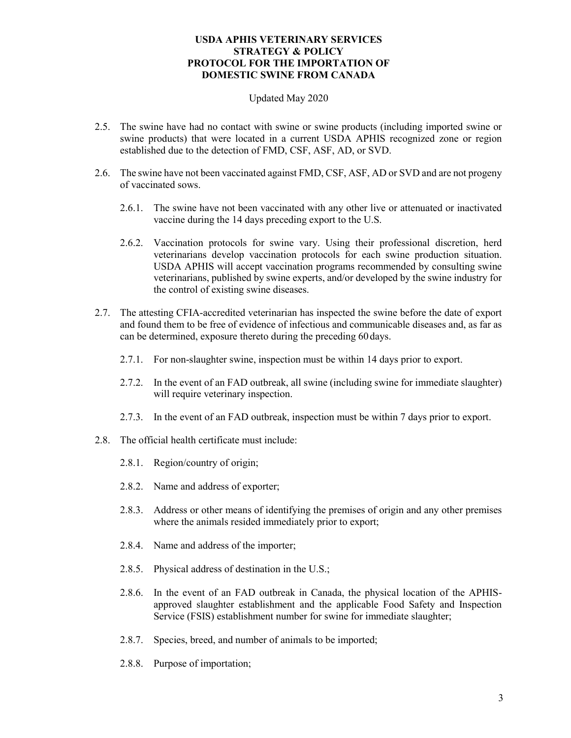#### Updated May 2020

- 2.5. The swine have had no contact with swine or swine products (including imported swine or swine products) that were located in a current USDA APHIS recognized zone or region established due to the detection of FMD, CSF, ASF, AD, or SVD.
- 2.6. The swine have not been vaccinated against FMD, CSF, ASF, AD or SVD and are not progeny of vaccinated sows.
	- 2.6.1. The swine have not been vaccinated with any other live or attenuated or inactivated vaccine during the 14 days preceding export to the U.S.
	- 2.6.2. Vaccination protocols for swine vary. Using their professional discretion, herd veterinarians develop vaccination protocols for each swine production situation. USDA APHIS will accept vaccination programs recommended by consulting swine veterinarians, published by swine experts, and/or developed by the swine industry for the control of existing swine diseases.
- 2.7. The attesting CFIA-accredited veterinarian has inspected the swine before the date of export and found them to be free of evidence of infectious and communicable diseases and, as far as can be determined, exposure thereto during the preceding 60 days.
	- 2.7.1. For non-slaughter swine, inspection must be within 14 days prior to export.
	- 2.7.2. In the event of an FAD outbreak, all swine (including swine for immediate slaughter) will require veterinary inspection.
	- 2.7.3. In the event of an FAD outbreak, inspection must be within 7 days prior to export.
- 2.8. The official health certificate must include:
	- 2.8.1. Region/country of origin;
	- 2.8.2. Name and address of exporter;
	- 2.8.3. Address or other means of identifying the premises of origin and any other premises where the animals resided immediately prior to export;
	- 2.8.4. Name and address of the importer;
	- 2.8.5. Physical address of destination in the U.S.;
	- 2.8.6. In the event of an FAD outbreak in Canada, the physical location of the APHISapproved slaughter establishment and the applicable Food Safety and Inspection Service (FSIS) establishment number for swine for immediate slaughter;
	- 2.8.7. Species, breed, and number of animals to be imported;
	- 2.8.8. Purpose of importation;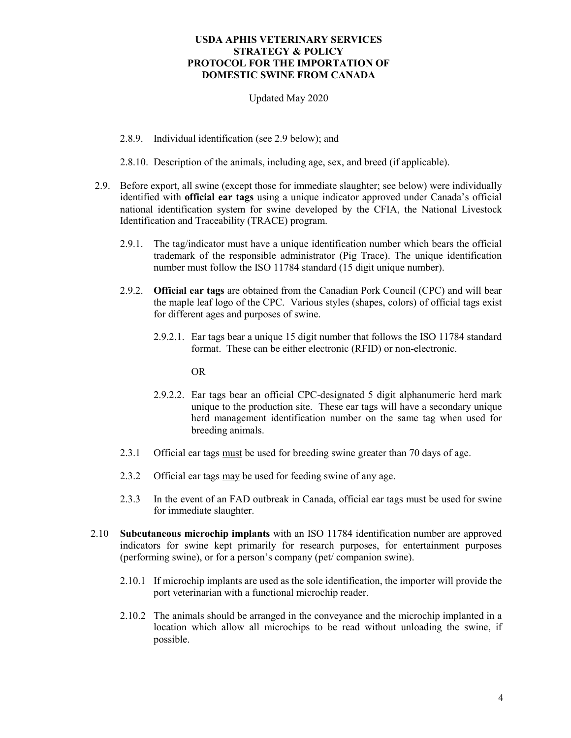# Updated May 2020

- 2.8.9. Individual identification (see 2.9 below); and
- 2.8.10. Description of the animals, including age, sex, and breed (if applicable).
- 2.9. Before export, all swine (except those for immediate slaughter; see below) were individually identified with **official ear tags** using a unique indicator approved under Canada's official national identification system for swine developed by the CFIA, the National Livestock Identification and Traceability (TRACE) program.
	- 2.9.1. The tag/indicator must have a unique identification number which bears the official trademark of the responsible administrator (Pig Trace). The unique identification number must follow the ISO 11784 standard (15 digit unique number).
	- 2.9.2. **Official ear tags** are obtained from the Canadian Pork Council (CPC) and will bear the maple leaf logo of the CPC. Various styles (shapes, colors) of official tags exist for different ages and purposes of swine.
		- 2.9.2.1. Ear tags bear a unique 15 digit number that follows the ISO 11784 standard format. These can be either electronic (RFID) or non-electronic.

OR

- 2.9.2.2. Ear tags bear an official CPC-designated 5 digit alphanumeric herd mark unique to the production site. These ear tags will have a secondary unique herd management identification number on the same tag when used for breeding animals.
- 2.3.1 Official ear tags must be used for breeding swine greater than 70 days of age.
- 2.3.2 Official ear tags may be used for feeding swine of any age.
- 2.3.3 In the event of an FAD outbreak in Canada, official ear tags must be used for swine for immediate slaughter.
- 2.10 **Subcutaneous microchip implants** with an ISO 11784 identification number are approved indicators for swine kept primarily for research purposes, for entertainment purposes (performing swine), or for a person's company (pet/ companion swine).
	- 2.10.1 If microchip implants are used as the sole identification, the importer will provide the port veterinarian with a functional microchip reader.
	- 2.10.2 The animals should be arranged in the conveyance and the microchip implanted in a location which allow all microchips to be read without unloading the swine, if possible.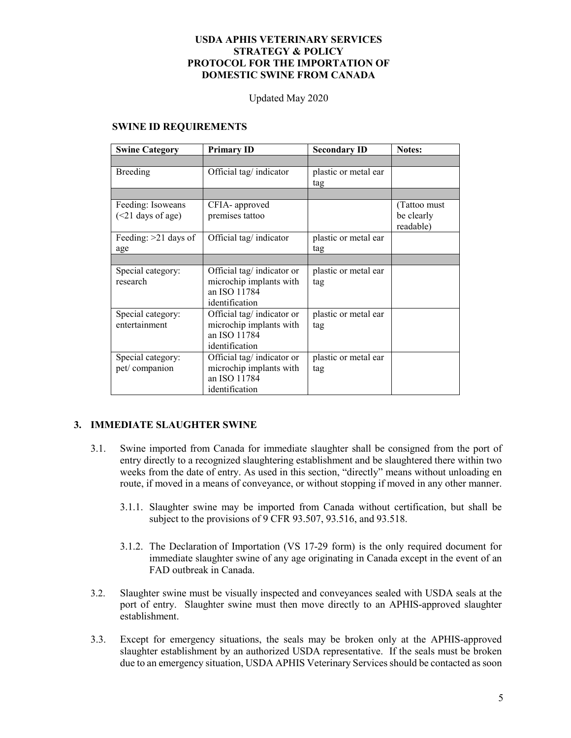Updated May 2020

#### **SWINE ID REQUIREMENTS**

| <b>Swine Category</b>                    | <b>Primary ID</b>                                                                      | <b>Secondary ID</b>         | <b>Notes:</b>                           |
|------------------------------------------|----------------------------------------------------------------------------------------|-----------------------------|-----------------------------------------|
|                                          |                                                                                        |                             |                                         |
| Breeding                                 | Official tag/indicator                                                                 | plastic or metal ear<br>tag |                                         |
|                                          |                                                                                        |                             |                                         |
| Feeding: Isoweans<br>$(<21$ days of age) | CFIA- approved<br>premises tattoo                                                      |                             | (Tattoo must<br>be clearly<br>readable) |
| Feeding: $>21$ days of<br>age            | Official tag/ indicator                                                                | plastic or metal ear<br>tag |                                         |
|                                          |                                                                                        |                             |                                         |
| Special category:<br>research            | Official tag/indicator or<br>microchip implants with<br>an ISO 11784<br>identification | plastic or metal ear<br>tag |                                         |
| Special category:<br>entertainment       | Official tag/indicator or<br>microchip implants with<br>an ISO 11784<br>identification | plastic or metal ear<br>tag |                                         |
| Special category:<br>pet/companion       | Official tag/indicator or<br>microchip implants with<br>an ISO 11784<br>identification | plastic or metal ear<br>tag |                                         |

# **3. IMMEDIATE SLAUGHTER SWINE**

- 3.1. Swine imported from Canada for immediate slaughter shall be consigned from the port of entry directly to a recognized slaughtering establishment and be slaughtered there within two weeks from the date of entry. As used in this section, "directly" means without unloading en route, if moved in a means of conveyance, or without stopping if moved in any other manner.
	- 3.1.1. Slaughter swine may be imported from Canada without certification, but shall be subject to the provisions of 9 CFR 93.507, 93.516, and 93.518.
	- 3.1.2. The Declaration of Importation (VS 17-29 form) is the only required document for immediate slaughter swine of any age originating in Canada except in the event of an FAD outbreak in Canada.
- 3.2. Slaughter swine must be visually inspected and conveyances sealed with USDA seals at the port of entry. Slaughter swine must then move directly to an APHIS-approved slaughter establishment.
- 3.3. Except for emergency situations, the seals may be broken only at the APHIS-approved slaughter establishment by an authorized USDA representative. If the seals must be broken due to an emergency situation, USDA APHIS Veterinary Services should be contacted as soon